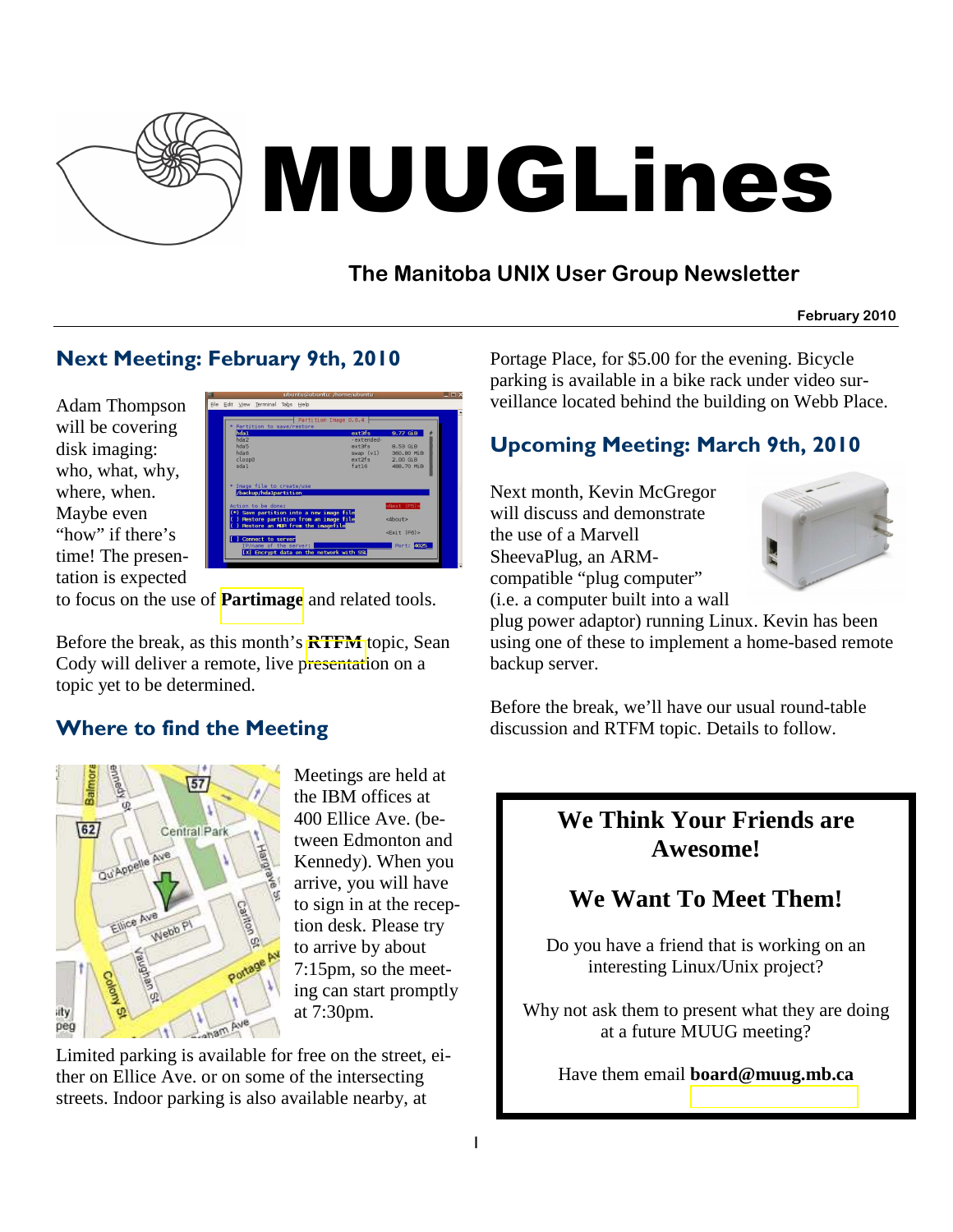

# MUUGLines

# **The Manitoba UNIX User Group Newsletter**

**February 2010**

## Next Meeting: February 9th, 2010

Adam Thompson will be covering disk imaging: who, what, why, where, when. Maybe even "how" if there's time! The presentation is expected



to focus on the use of **[Partimage](http://www.partimage.org/Main_Page)** and related tools.

Before the break, as this month's **[RTFM](http://www.muug.mb.ca/cgi-bin/man?rtfm)** topic, Sean Cody will deliver a remote, live presentation on a topic yet to be determined.

## Where to find the Meeting



Meetings are held at the IBM offices at 400 Ellice Ave. (between Edmonton and Kennedy). When you arrive, you will have to sign in at the reception desk. Please try to arrive by about 7:15pm, so the meeting can start promptly at 7:30pm.

Limited parking is available for free on the street, either on Ellice Ave. or on some of the intersecting streets. Indoor parking is also available nearby, at

Portage Place, for \$5.00 for the evening. Bicycle parking is available in a bike rack under video surveillance located behind the building on Webb Place.

## Upcoming Meeting: March 9th, 2010

Next month, Kevin McGregor will discuss and demonstrate the use of a Marvell SheevaPlug, an ARMcompatible "plug computer" (i.e. a computer built into a wall



plug power adaptor) running Linux. Kevin has been using one of these to implement a home-based remote backup server.

Before the break, we'll have our usual round-table discussion and RTFM topic. Details to follow.

## **We Think Your Friends are Awesome!**

# **We Want To Meet Them!**

Do you have a friend that is working on an interesting Linux/Unix project?

Why not ask them to present what they are doing at a future MUUG meeting?

Have them email **board@muug.mb.ca**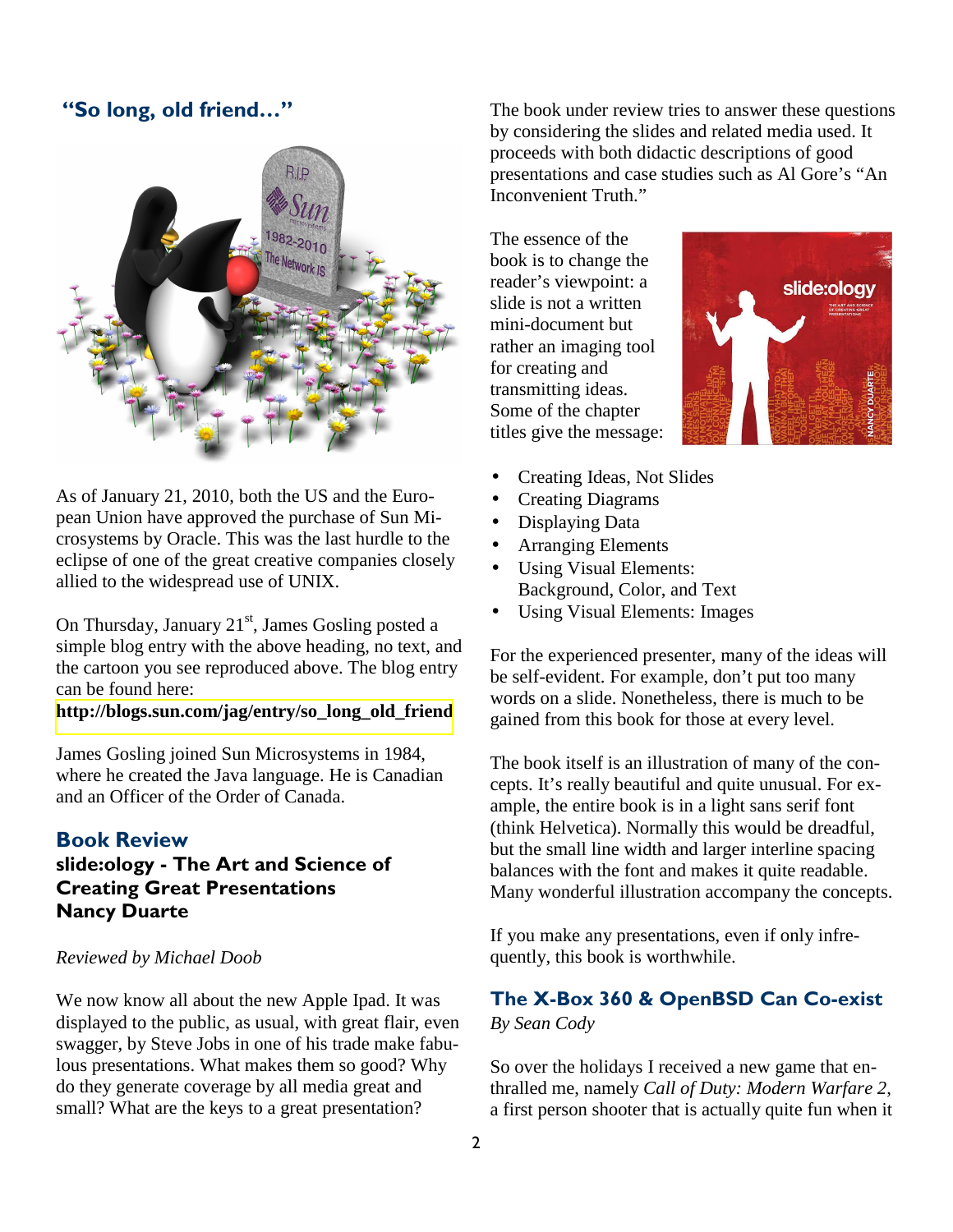#### "So long, old friend…"



As of January 21, 2010, both the US and the European Union have approved the purchase of Sun Microsystems by Oracle. This was the last hurdle to the eclipse of one of the great creative companies closely allied to the widespread use of UNIX.

On Thursday, January  $21<sup>st</sup>$ , James Gosling posted a simple blog entry with the above heading, no text, and the cartoon you see reproduced above. The blog entry can be found here:

#### **[http://blogs.sun.com/jag/entry/so\\_long\\_old\\_friend](http://blogs.sun.com/jag/entry/so_long_old_friend)**

James Gosling joined Sun Microsystems in 1984, where he created the Java language. He is Canadian and an Officer of the Order of Canada.

#### Book Review

## slide:ology - The Art and Science of Creating Great Presentations Nancy Duarte

#### *Reviewed by Michael Doob*

We now know all about the new Apple Ipad. It was displayed to the public, as usual, with great flair, even swagger, by Steve Jobs in one of his trade make fabulous presentations. What makes them so good? Why do they generate coverage by all media great and small? What are the keys to a great presentation?

The book under review tries to answer these questions by considering the slides and related media used. It proceeds with both didactic descriptions of good presentations and case studies such as Al Gore's "An Inconvenient Truth."

The essence of the book is to change the reader's viewpoint: a slide is not a written mini-document but rather an imaging tool for creating and transmitting ideas. Some of the chapter titles give the message:



- Creating Ideas, Not Slides
- Creating Diagrams
- Displaying Data
- Arranging Elements
- Using Visual Elements: Background, Color, and Text
- Using Visual Elements: Images

For the experienced presenter, many of the ideas will be self-evident. For example, don't put too many words on a slide. Nonetheless, there is much to be gained from this book for those at every level.

The book itself is an illustration of many of the concepts. It's really beautiful and quite unusual. For example, the entire book is in a light sans serif font (think Helvetica). Normally this would be dreadful, but the small line width and larger interline spacing balances with the font and makes it quite readable. Many wonderful illustration accompany the concepts.

If you make any presentations, even if only infrequently, this book is worthwhile.

#### The X-Box 360 & OpenBSD Can Co-exist *By Sean Cody*

So over the holidays I received a new game that enthralled me, namely *Call of Duty: Modern Warfare 2*, a first person shooter that is actually quite fun when it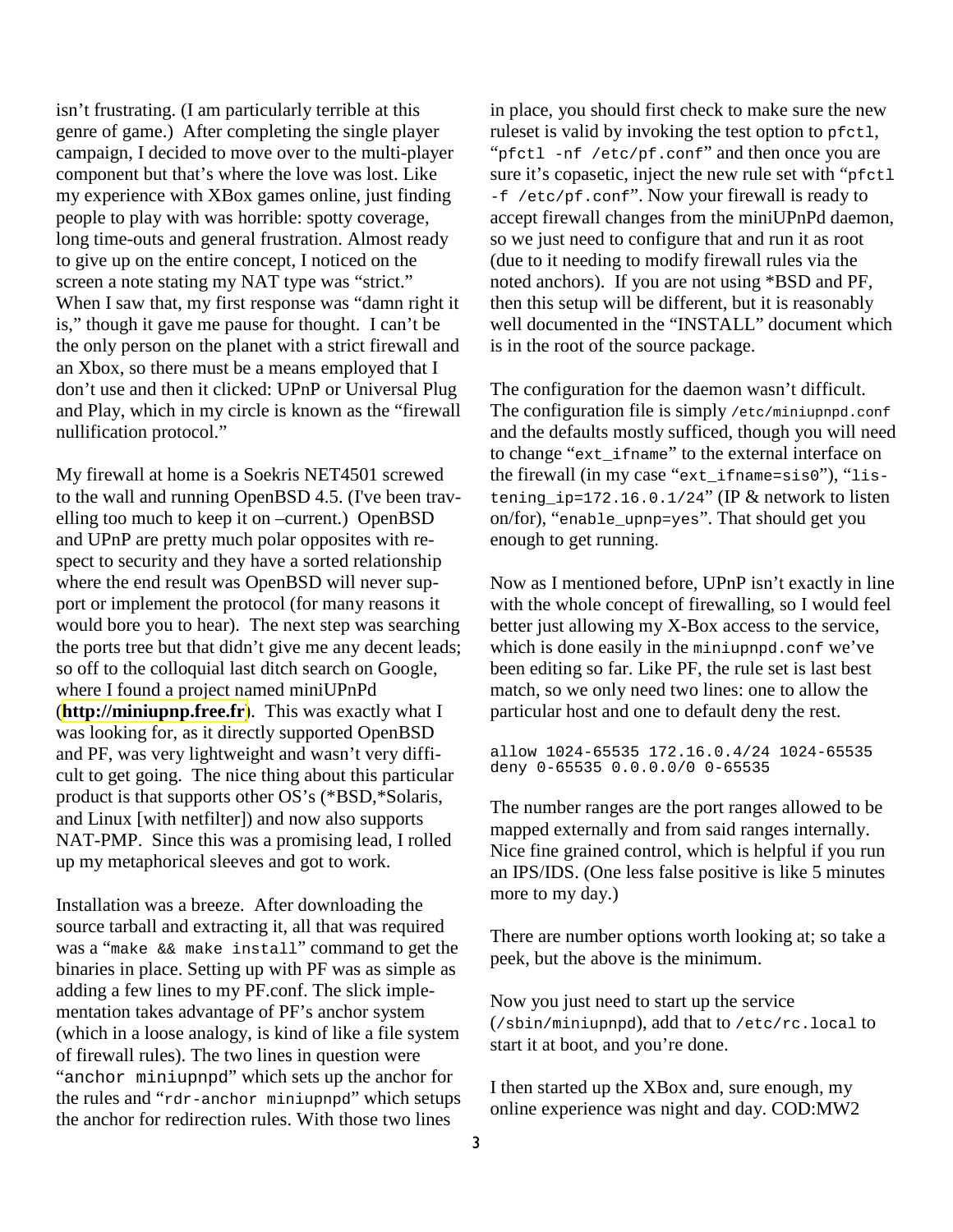isn't frustrating. (I am particularly terrible at this genre of game.) After completing the single player campaign, I decided to move over to the multi-player component but that's where the love was lost. Like my experience with XBox games online, just finding people to play with was horrible: spotty coverage, long time-outs and general frustration. Almost ready to give up on the entire concept, I noticed on the screen a note stating my NAT type was "strict." When I saw that, my first response was "damn right it is," though it gave me pause for thought. I can't be the only person on the planet with a strict firewall and an Xbox, so there must be a means employed that I don't use and then it clicked: UPnP or Universal Plug and Play, which in my circle is known as the "firewall nullification protocol."

My firewall at home is a Soekris NET4501 screwed to the wall and running OpenBSD 4.5. (I've been travelling too much to keep it on –current.) OpenBSD and UPnP are pretty much polar opposites with respect to security and they have a sorted relationship where the end result was OpenBSD will never support or implement the protocol (for many reasons it would bore you to hear). The next step was searching the ports tree but that didn't give me any decent leads; so off to the colloquial last ditch search on Google, where I found a project named miniUPnPd (**[http://miniupnp.free.fr](http://miniupnp.free.fr/)**). This was exactly what I was looking for, as it directly supported OpenBSD and PF, was very lightweight and wasn't very difficult to get going. The nice thing about this particular product is that supports other OS's (\*BSD,\*Solaris, and Linux [with netfilter]) and now also supports NAT-PMP. Since this was a promising lead, I rolled up my metaphorical sleeves and got to work.

Installation was a breeze. After downloading the source tarball and extracting it, all that was required was a "make && make install" command to get the binaries in place. Setting up with PF was as simple as adding a few lines to my PF.conf. The slick implementation takes advantage of PF's anchor system (which in a loose analogy, is kind of like a file system of firewall rules). The two lines in question were "anchor miniupnpd" which sets up the anchor for the rules and "rdr-anchor miniupnpd" which setups the anchor for redirection rules. With those two lines

in place, you should first check to make sure the new ruleset is valid by invoking the test option to pfctl, "pfctl -nf /etc/pf.conf" and then once you are sure it's copasetic, inject the new rule set with "pfctl" -f /etc/pf.conf". Now your firewall is ready to accept firewall changes from the miniUPnPd daemon, so we just need to configure that and run it as root (due to it needing to modify firewall rules via the noted anchors). If you are not using \*BSD and PF, then this setup will be different, but it is reasonably well documented in the "INSTALL" document which is in the root of the source package.

The configuration for the daemon wasn't difficult. The configuration file is simply /etc/miniupnpd.conf and the defaults mostly sufficed, though you will need to change "ext\_ifname" to the external interface on the firewall (in my case "ext\_ifname=sis0"), "listening  $ip=172.16.0.1/24"$  (IP & network to listen on/for), "enable\_upnp=yes". That should get you enough to get running.

Now as I mentioned before, UPnP isn't exactly in line with the whole concept of firewalling, so I would feel better just allowing my X-Box access to the service, which is done easily in the miniupnpd.conf we've been editing so far. Like PF, the rule set is last best match, so we only need two lines: one to allow the particular host and one to default deny the rest.

allow 1024-65535 172.16.0.4/24 1024-65535 deny 0-65535 0.0.0.0/0 0-65535

The number ranges are the port ranges allowed to be mapped externally and from said ranges internally. Nice fine grained control, which is helpful if you run an IPS/IDS. (One less false positive is like 5 minutes more to my day.)

There are number options worth looking at; so take a peek, but the above is the minimum.

Now you just need to start up the service (/sbin/miniupnpd), add that to /etc/rc.local to start it at boot, and you're done.

I then started up the XBox and, sure enough, my online experience was night and day. COD:MW2